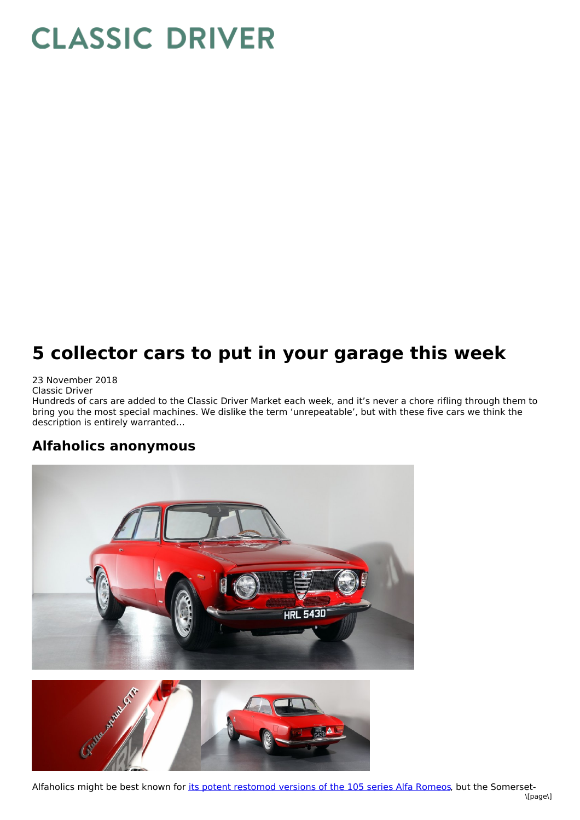# **CLASSIC DRIVER**

## **5 collector cars to put in your garage this week**

#### 23 November 2018

Classic Driver

Hundreds of cars are added to the Classic Driver Market each week, and it's never a chore rifling through them to bring you the most special machines. We dislike the term 'unrepeatable', but with these five cars we think the description is entirely warranted…

#### **Alfaholics anonymous**





Alfaholics might be best known for its potent [restomod](https://www.classicdriver.com/en/article/cars/rise-restomods-why-you-need-upgraded-classic) versions of the 105 series Alfa Romeos, but the Somerset- \[page\]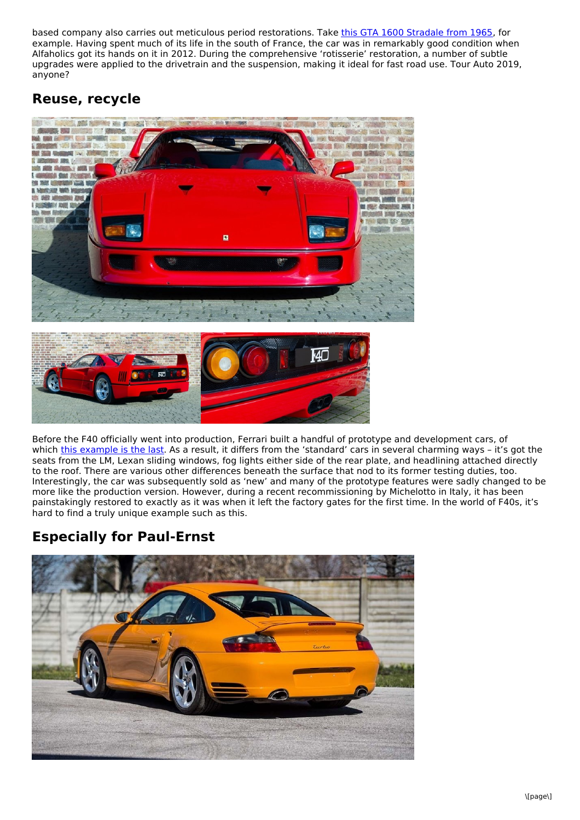based company also carries out meticulous period restorations. Take this GTA 1600 [Stradale](https://www.classicdriver.com/en/car/alfa-romeo/gta/1965/582420) from 1965, for example. Having spent much of its life in the south of France, the car was in remarkably good condition when Alfaholics got its hands on it in 2012. During the comprehensive 'rotisserie' restoration, a number of subtle upgrades were applied to the drivetrain and the suspension, making it ideal for fast road use. Tour Auto 2019, anyone?

#### **Reuse, recycle**



Before the F40 officially went into production, Ferrari built a handful of prototype and development cars, of which this [example](https://www.classicdriver.com/en/car/ferrari/f40/1990/581784) is the last. As a result, it differs from the 'standard' cars in several charming ways - it's got the seats from the LM, Lexan sliding windows, fog lights either side of the rear plate, and headlining attached directly to the roof. There are various other differences beneath the surface that nod to its former testing duties, too. Interestingly, the car was subsequently sold as 'new' and many of the prototype features were sadly changed to be more like the production version. However, during a recent recommissioning by Michelotto in Italy, it has been painstakingly restored to exactly as it was when it left the factory gates for the first time. In the world of F40s, it's hard to find a truly unique example such as this.

#### **Especially for Paul-Ernst**

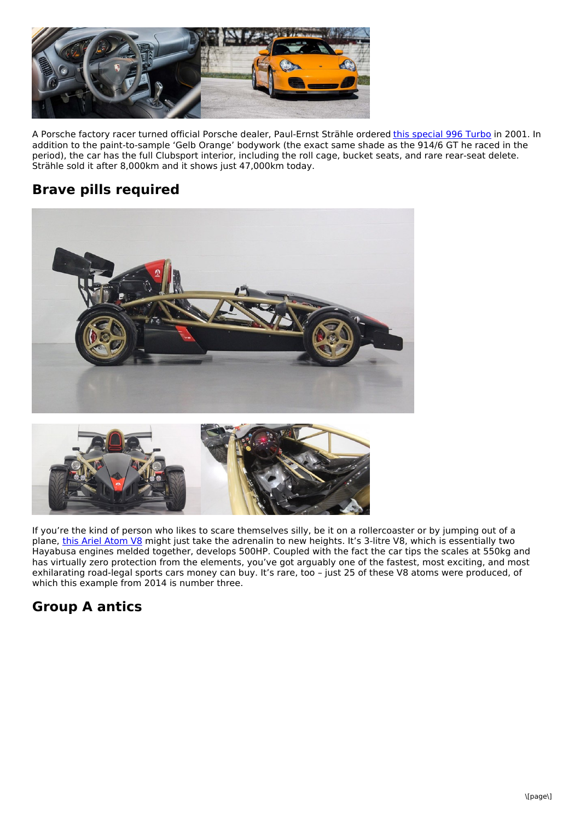

A Porsche factory racer turned official Porsche dealer, Paul-Ernst Strähle ordered this [special](https://www.classicdriver.com/en/car/porsche/911-996-turbo/2001/581713) 996 Turbo in 2001. In addition to the paint-to-sample 'Gelb Orange' bodywork (the exact same shade as the 914/6 GT he raced in the period), the car has the full Clubsport interior, including the roll cage, bucket seats, and rare rear-seat delete. Strähle sold it after 8,000km and it shows just 47,000km today.

### **Brave pills required**





If you're the kind of person who likes to scare themselves silly, be it on a rollercoaster or by jumping out of a plane, this Ariel [Atom](https://www.classicdriver.com/en/car/ariel-motor/atom/2014/582369) V8 might just take the adrenalin to new heights. It's 3-litre V8, which is essentially two Hayabusa engines melded together, develops 500HP. Coupled with the fact the car tips the scales at 550kg and has virtually zero protection from the elements, you've got arguably one of the fastest, most exciting, and most exhilarating road-legal sports cars money can buy. It's rare, too – just 25 of these V8 atoms were produced, of which this example from 2014 is number three.

### **Group A antics**